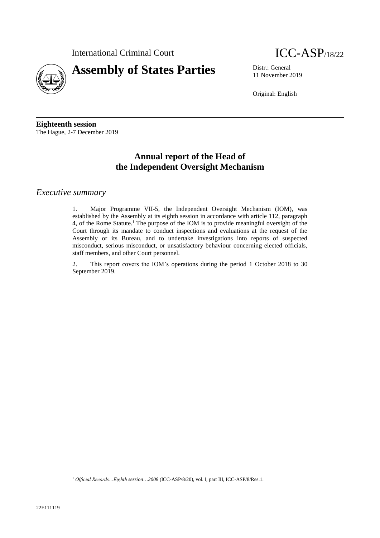



11 November 2019

Original: English

**Eighteenth session** The Hague, 2-7 December 2019

# **Annual report of the Head of the Independent Oversight Mechanism**

## *Executive summary*

1. Major Programme VII-5, the Independent Oversight Mechanism (IOM), was established by the Assembly at its eighth session in accordance with article 112, paragraph 4, of the Rome Statute. <sup>1</sup> The purpose of the IOM is to provide meaningful oversight of the Court through its mandate to conduct inspections and evaluations at the request of the Assembly or its Bureau, and to undertake investigations into reports of suspected misconduct, serious misconduct, or unsatisfactory behaviour concerning elected officials, staff members, and other Court personnel.

2. This report covers the IOM's operations during the period 1 October 2018 to 30 September 2019.

 $\overline{a}$ 

<sup>1</sup> *Official Records…Eighth session*…*2008* (ICC-ASP/8/20), vol. I, part III, ICC-ASP/8/Res.1.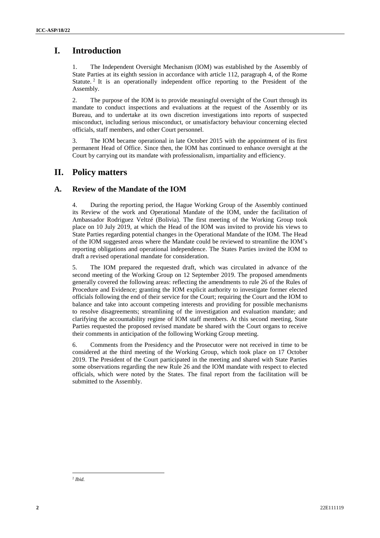# **I. Introduction**

The Independent Oversight Mechanism (IOM) was established by the Assembly of State Parties at its eighth session in accordance with article 112, paragraph 4, of the Rome Statute.<sup>2</sup> It is an operationally independent office reporting to the President of the Assembly.

2. The purpose of the IOM is to provide meaningful oversight of the Court through its mandate to conduct inspections and evaluations at the request of the Assembly or its Bureau, and to undertake at its own discretion investigations into reports of suspected misconduct, including serious misconduct, or unsatisfactory behaviour concerning elected officials, staff members, and other Court personnel.

3. The IOM became operational in late October 2015 with the appointment of its first permanent Head of Office. Since then, the IOM has continued to enhance oversight at the Court by carrying out its mandate with professionalism, impartiality and efficiency.

# **II. Policy matters**

## **A. Review of the Mandate of the IOM**

4. During the reporting period, the Hague Working Group of the Assembly continued its Review of the work and Operational Mandate of the IOM, under the facilitation of Ambassador Rodriguez Veltzé (Bolivia). The first meeting of the Working Group took place on 10 July 2019, at which the Head of the IOM was invited to provide his views to State Parties regarding potential changes in the Operational Mandate of the IOM. The Head of the IOM suggested areas where the Mandate could be reviewed to streamline the IOM's reporting obligations and operational independence. The States Parties invited the IOM to draft a revised operational mandate for consideration.

5. The IOM prepared the requested draft, which was circulated in advance of the second meeting of the Working Group on 12 September 2019. The proposed amendments generally covered the following areas: reflecting the amendments to rule 26 of the Rules of Procedure and Evidence; granting the IOM explicit authority to investigate former elected officials following the end of their service for the Court; requiring the Court and the IOM to balance and take into account competing interests and providing for possible mechanisms to resolve disagreements; streamlining of the investigation and evaluation mandate; and clarifying the accountability regime of IOM staff members. At this second meeting, State Parties requested the proposed revised mandate be shared with the Court organs to receive their comments in anticipation of the following Working Group meeting.

6. Comments from the Presidency and the Prosecutor were not received in time to be considered at the third meeting of the Working Group, which took place on 17 October 2019. The President of the Court participated in the meeting and shared with State Parties some observations regarding the new Rule 26 and the IOM mandate with respect to elected officials, which were noted by the States. The final report from the facilitation will be submitted to the Assembly.

 $\overline{a}$ 2 *Ibid.*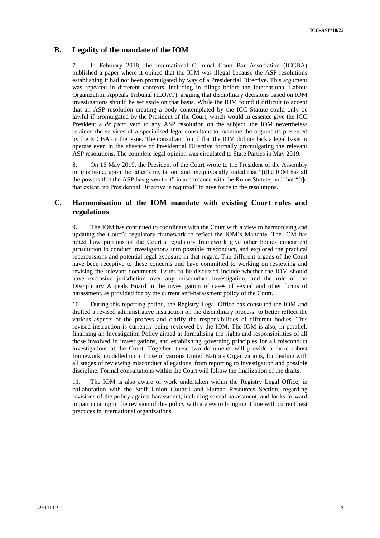### **B. Legality of the mandate of the IOM**

7. In February 2018, the International Criminal Court Bar Association (ICCBA) published a paper where it opined that the IOM was illegal because the ASP resolutions establishing it had not been promulgated by way of a Presidential Directive. This argument was repeated in different contexts, including in filings before the International Labour Organization Appeals Tribunal (ILOAT), arguing that disciplinary decisions based on IOM investigations should be set aside on that basis. While the IOM found it difficult to accept that an ASP resolution creating a body contemplated by the ICC Statute could only be lawful if promulgated by the President of the Court, which would in essence give the ICC President a *de facto* veto to any ASP resolution on the subject, the IOM nevertheless retained the services of a specialised legal consultant to examine the arguments presented by the ICCBA on the issue. The consultant found that the IOM did not lack a legal basis to operate even in the absence of Presidential Directive formally promulgating the relevant ASP resolutions. The complete legal opinion was circulated to State Parties in May 2019.

8. On 16 May 2019, the President of the Court wrote to the President of the Assembly on this issue, upon the latter's invitation, and unequivocally stated that "[t]he IOM has all the powers that the ASP has given to it" in accordance with the Rome Statute, and that "[t]o that extent, no Presidential Directive is required" to give force to the resolutions.

## **C. Harmonisation of the IOM mandate with existing Court rules and regulations**

9. The IOM has continued to coordinate with the Court with a view to harmonising and updating the Court's regulatory framework to reflect the IOM's Mandate. The IOM has noted how portions of the Court's regulatory framework give other bodies concurrent jurisdiction to conduct investigations into possible misconduct, and explored the practical repercussions and potential legal exposure in that regard. The different organs of the Court have been receptive to these concerns and have committed to working on reviewing and revising the relevant documents. Issues to be discussed include whether the IOM should have exclusive jurisdiction over any misconduct investigation, and the role of the Disciplinary Appeals Board in the investigation of cases of sexual and other forms of harassment, as provided for by the current anti-harassment policy of the Court.

10. During this reporting period, the Registry Legal Office has consulted the IOM and drafted a revised administrative instruction on the disciplinary process, to better reflect the various aspects of the process and clarify the responsibilities of different bodies. This revised instruction is currently being reviewed by the IOM. The IOM is also, in parallel, finalising an Investigation Policy aimed at formalising the rights and responsibilities of all those involved in investigations, and establishing governing principles for all misconduct investigations at the Court. Together, these two documents will provide a more robust framework, modelled upon those of various United Nations Organizations, for dealing with all stages of reviewing misconduct allegations, from reporting to investigation and possible discipline. Formal consultations within the Court will follow the finalization of the drafts.

11. The IOM is also aware of work undertaken within the Registry Legal Office, in collaboration with the Staff Union Council and Human Resources Section, regarding revisions of the policy against harassment, including sexual harassment, and looks forward to participating in the revision of this policy with a view to bringing it line with current best practices in international organizations.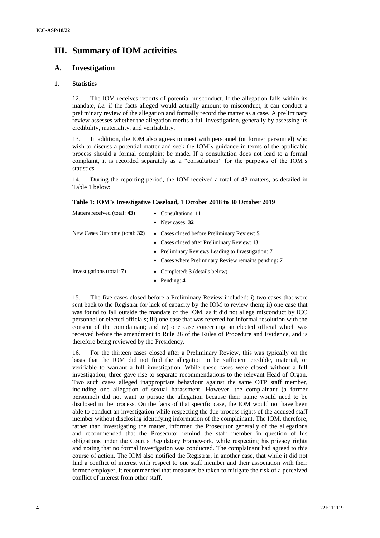# **III. Summary of IOM activities**

### **A. Investigation**

### **1. Statistics**

12. The IOM receives reports of potential misconduct. If the allegation falls within its mandate, *i.e.* if the facts alleged would actually amount to misconduct, it can conduct a preliminary review of the allegation and formally record the matter as a case. A preliminary review assesses whether the allegation merits a full investigation, generally by assessing its credibility, materiality, and verifiability.

13. In addition, the IOM also agrees to meet with personnel (or former personnel) who wish to discuss a potential matter and seek the IOM's guidance in terms of the applicable process should a formal complaint be made. If a consultation does not lead to a formal complaint, it is recorded separately as a "consultation" for the purposes of the IOM's statistics.

14. During the reporting period, the IOM received a total of 43 matters, as detailed in Table 1 below:

| Matters received (total: 43)  | $\bullet$ Consultations: 11                         |  |  |  |  |  |
|-------------------------------|-----------------------------------------------------|--|--|--|--|--|
|                               | New cases: 32<br>$\bullet$                          |  |  |  |  |  |
| New Cases Outcome (total: 32) | • Cases closed before Preliminary Review: 5         |  |  |  |  |  |
|                               | • Cases closed after Preliminary Review: 13         |  |  |  |  |  |
|                               | • Preliminary Reviews Leading to Investigation: 7   |  |  |  |  |  |
|                               | • Cases where Preliminary Review remains pending: 7 |  |  |  |  |  |
| Investigations (total: 7)     | • Completed: $3$ (details below)                    |  |  |  |  |  |
|                               | Pending: 4<br>$\bullet$                             |  |  |  |  |  |

**Table 1: IOM's Investigative Caseload, 1 October 2018 to 30 October 2019**

15. The five cases closed before a Preliminary Review included: i) two cases that were sent back to the Registrar for lack of capacity by the IOM to review them; ii) one case that was found to fall outside the mandate of the IOM, as it did not allege misconduct by ICC personnel or elected officials; iii) one case that was referred for informal resolution with the consent of the complainant; and iv) one case concerning an elected official which was received before the amendment to Rule 26 of the Rules of Procedure and Evidence, and is therefore being reviewed by the Presidency.

16. For the thirteen cases closed after a Preliminary Review, this was typically on the basis that the IOM did not find the allegation to be sufficient credible, material, or verifiable to warrant a full investigation. While these cases were closed without a full investigation, three gave rise to separate recommendations to the relevant Head of Organ. Two such cases alleged inappropriate behaviour against the same OTP staff member, including one allegation of sexual harassment. However, the complainant (a former personnel) did not want to pursue the allegation because their name would need to be disclosed in the process. On the facts of that specific case, the IOM would not have been able to conduct an investigation while respecting the due process rights of the accused staff member without disclosing identifying information of the complainant. The IOM, therefore, rather than investigating the matter, informed the Prosecutor generally of the allegations and recommended that the Prosecutor remind the staff member in question of his obligations under the Court's Regulatory Framework, while respecting his privacy rights and noting that no formal investigation was conducted. The complainant had agreed to this course of action. The IOM also notified the Registrar, in another case, that while it did not find a conflict of interest with respect to one staff member and their association with their former employer, it recommended that measures be taken to mitigate the risk of a perceived conflict of interest from other staff.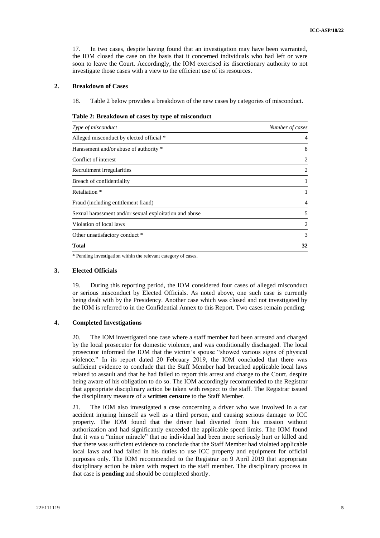17. In two cases, despite having found that an investigation may have been warranted, the IOM closed the case on the basis that it concerned individuals who had left or were soon to leave the Court. Accordingly, the IOM exercised its discretionary authority to not investigate those cases with a view to the efficient use of its resources.

#### **2. Breakdown of Cases**

18. Table 2 below provides a breakdown of the new cases by categories of misconduct.

| Table 2: Breakdown of cases by type of misconduct |  |  |  |  |  |  |
|---------------------------------------------------|--|--|--|--|--|--|
|---------------------------------------------------|--|--|--|--|--|--|

| Type of misconduct                                     | Number of cases |  |
|--------------------------------------------------------|-----------------|--|
| Alleged misconduct by elected official *               | 4               |  |
| Harassment and/or abuse of authority *                 | 8               |  |
| Conflict of interest                                   | 2               |  |
| Recruitment irregularities                             | 2               |  |
| Breach of confidentiality                              | 1               |  |
| Retaliation *                                          | 1               |  |
| Fraud (including entitlement fraud)                    | 4               |  |
| Sexual harassment and/or sexual exploitation and abuse | 5               |  |
| Violation of local laws                                | 2               |  |
| Other unsatisfactory conduct *                         | 3               |  |
| <b>Total</b>                                           | 32              |  |

\* Pending investigation within the relevant category of cases.

#### **3. Elected Officials**

19. During this reporting period, the IOM considered four cases of alleged misconduct or serious misconduct by Elected Officials. As noted above, one such case is currently being dealt with by the Presidency. Another case which was closed and not investigated by the IOM is referred to in the Confidential Annex to this Report. Two cases remain pending.

#### **4. Completed Investigations**

20. The IOM investigated one case where a staff member had been arrested and charged by the local prosecutor for domestic violence, and was conditionally discharged. The local prosecutor informed the IOM that the victim's spouse "showed various signs of physical violence." In its report dated 20 February 2019, the IOM concluded that there was sufficient evidence to conclude that the Staff Member had breached applicable local laws related to assault and that he had failed to report this arrest and charge to the Court, despite being aware of his obligation to do so. The IOM accordingly recommended to the Registrar that appropriate disciplinary action be taken with respect to the staff. The Registrar issued the disciplinary measure of a **written censure** to the Staff Member.

21. The IOM also investigated a case concerning a driver who was involved in a car accident injuring himself as well as a third person, and causing serious damage to ICC property. The IOM found that the driver had diverted from his mission without authorization and had significantly exceeded the applicable speed limits. The IOM found that it was a "minor miracle" that no individual had been more seriously hurt or killed and that there was sufficient evidence to conclude that the Staff Member had violated applicable local laws and had failed in his duties to use ICC property and equipment for official purposes only. The IOM recommended to the Registrar on 9 April 2019 that appropriate disciplinary action be taken with respect to the staff member. The disciplinary process in that case is **pending** and should be completed shortly.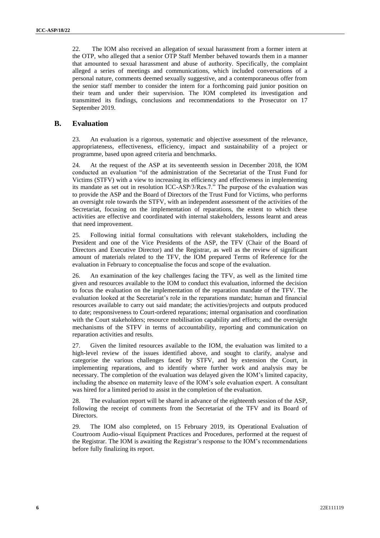22. The IOM also received an allegation of sexual harassment from a former intern at the OTP, who alleged that a senior OTP Staff Member behaved towards them in a manner that amounted to sexual harassment and abuse of authority. Specifically, the complaint alleged a series of meetings and communications, which included conversations of a personal nature, comments deemed sexually suggestive, and a contemporaneous offer from the senior staff member to consider the intern for a forthcoming paid junior position on their team and under their supervision. The IOM completed its investigation and transmitted its findings, conclusions and recommendations to the Prosecutor on 17 September 2019.

### **B. Evaluation**

23. An evaluation is a rigorous, systematic and objective assessment of the relevance, appropriateness, effectiveness, efficiency, impact and sustainability of a project or programme, based upon agreed criteria and benchmarks.

At the request of the ASP at its seventeenth session in December 2018, the IOM conducted an evaluation "of the administration of the Secretariat of the Trust Fund for Victims (STFV) with a view to increasing its efficiency and effectiveness in implementing its mandate as set out in resolution ICC-ASP/3/Res.7." The purpose of the evaluation was to provide the ASP and the Board of Directors of the Trust Fund for Victims, who performs an oversight role towards the STFV, with an independent assessment of the activities of the Secretariat, focusing on the implementation of reparations, the extent to which these activities are effective and coordinated with internal stakeholders, lessons learnt and areas that need improvement.

25. Following initial formal consultations with relevant stakeholders, including the President and one of the Vice Presidents of the ASP, the TFV (Chair of the Board of Directors and Executive Director) and the Registrar, as well as the review of significant amount of materials related to the TFV, the IOM prepared Terms of Reference for the evaluation in February to conceptualise the focus and scope of the evaluation.

26. An examination of the key challenges facing the TFV, as well as the limited time given and resources available to the IOM to conduct this evaluation, informed the decision to focus the evaluation on the implementation of the reparation mandate of the TFV. The evaluation looked at the Secretariat's role in the reparations mandate; human and financial resources available to carry out said mandate; the activities/projects and outputs produced to date; responsiveness to Court-ordered reparations; internal organisation and coordination with the Court stakeholders; resource mobilisation capability and efforts; and the oversight mechanisms of the STFV in terms of accountability, reporting and communication on reparation activities and results.

27. Given the limited resources available to the IOM, the evaluation was limited to a high-level review of the issues identified above, and sought to clarify, analyse and categorise the various challenges faced by STFV, and by extension the Court, in implementing reparations, and to identify where further work and analysis may be necessary. The completion of the evaluation was delayed given the IOM's limited capacity, including the absence on maternity leave of the IOM's sole evaluation expert. A consultant was hired for a limited period to assist in the completion of the evaluation.

28. The evaluation report will be shared in advance of the eighteenth session of the ASP, following the receipt of comments from the Secretariat of the TFV and its Board of Directors.

29. The IOM also completed, on 15 February 2019, its Operational Evaluation of Courtroom Audio-visual Equipment Practices and Procedures, performed at the request of the Registrar. The IOM is awaiting the Registrar's response to the IOM's recommendations before fully finalizing its report.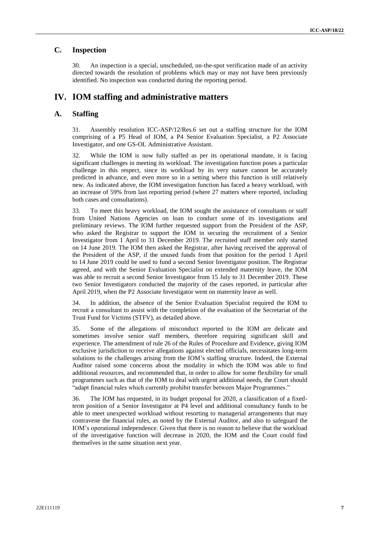### **C. Inspection**

30. An inspection is a special, unscheduled, on-the-spot verification made of an activity directed towards the resolution of problems which may or may not have been previously identified. No inspection was conducted during the reporting period.

# **IV. IOM staffing and administrative matters**

#### **A. Staffing**

31. Assembly resolution ICC-ASP/12/Res.6 set out a staffing structure for the IOM comprising of a P5 Head of IOM, a P4 Senior Evaluation Specialist, a P2 Associate Investigator, and one GS-OL Administrative Assistant.

32. While the IOM is now fully staffed as per its operational mandate, it is facing significant challenges in meeting its workload. The investigation function poses a particular challenge in this respect, since its workload by its very nature cannot be accurately predicted in advance, and even more so in a setting where this function is still relatively new. As indicated above, the IOM investigation function has faced a heavy workload, with an increase of 59% from last reporting period (where 27 matters where reported, including both cases and consultations).

33. To meet this heavy workload, the IOM sought the assistance of consultants or staff from United Nations Agencies on loan to conduct some of its investigations and preliminary reviews. The IOM further requested support from the President of the ASP, who asked the Registrar to support the IOM in securing the recruitment of a Senior Investigator from 1 April to 31 December 2019. The recruited staff member only started on 14 June 2019. The IOM then asked the Registrar, after having received the approval of the President of the ASP, if the unused funds from that position for the period 1 April to 14 June 2019 could be used to fund a second Senior Investigator position. The Registrar agreed, and with the Senior Evaluation Specialist on extended maternity leave, the IOM was able to recruit a second Senior Investigator from 15 July to 31 December 2019. These two Senior Investigators conducted the majority of the cases reported, in particular after April 2019, when the P2 Associate Investigator went on maternity leave as well.

34. In addition, the absence of the Senior Evaluation Specialist required the IOM to recruit a consultant to assist with the completion of the evaluation of the Secretariat of the Trust Fund for Victims (STFV), as detailed above.

35. Some of the allegations of misconduct reported to the IOM are delicate and sometimes involve senior staff members, therefore requiring significant skill and experience. The amendment of rule 26 of the Rules of Procedure and Evidence, giving IOM exclusive jurisdiction to receive allegations against elected officials, necessitates long-term solutions to the challenges arising from the IOM's staffing structure. Indeed, the External Auditor raised some concerns about the modality in which the IOM was able to find additional resources, and recommended that, in order to allow for some flexibility for small programmes such as that of the IOM to deal with urgent additional needs, the Court should "adapt financial rules which currently prohibit transfer between Major Programmes."

36. The IOM has requested, in its budget proposal for 2020, a classification of a fixedterm position of a Senior Investigator at P4 level and additional consultancy funds to be able to meet unexpected workload without resorting to managerial arrangements that may contravene the financial rules, as noted by the External Auditor, and also to safeguard the IOM's operational independence. Given that there is no reason to believe that the workload of the investigative function will decrease in 2020, the IOM and the Court could find themselves in the same situation next year.